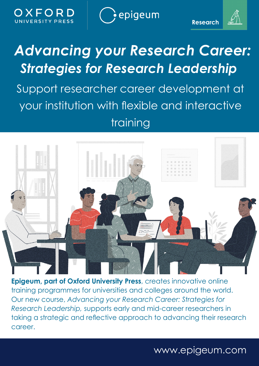OXEOR UNIVERSITY PRESS epigeum

**Research** 



Support researcher career development at your institution with flexible and interactive training



**Epigeum, part of Oxford University Press**, creates innovative online training programmes for universities and colleges around the world. Our new course, *Advancing your Research Career: Strategies for Research Leadership,* supports early and mid-career researchers in taking a strategic and reflective approach to advancing their research career.

www.epigeum.com